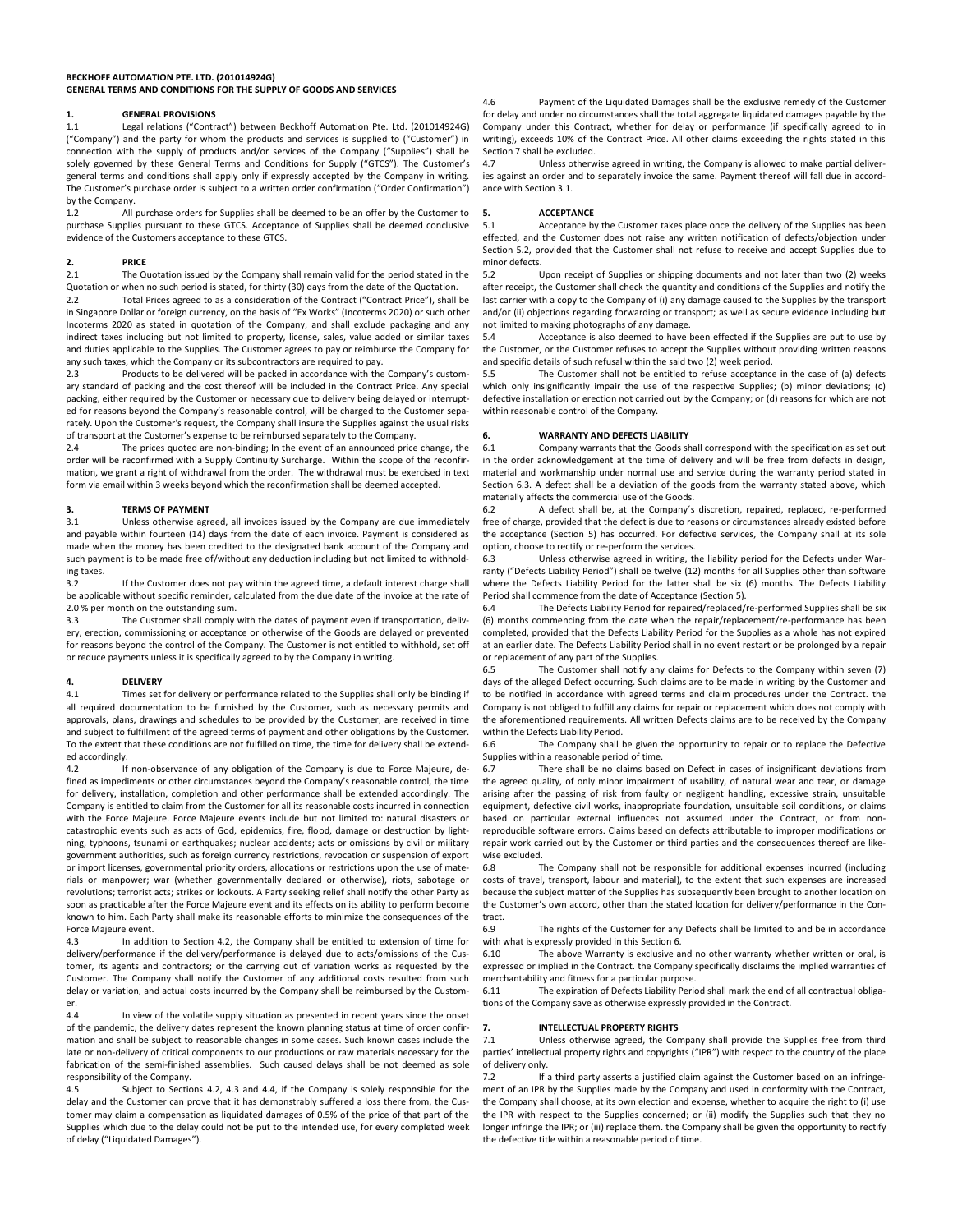### **BECKHOFF AUTOMATION PTE. LTD. (201014924G) GENERAL TERMS AND CONDITIONS FOR THE SUPPLY OF GOODS AND SERVICES**

# **1. GENERAL PROVISIONS**<br>**1.1 Legal relations ("Contri**

Legal relations ("Contract") between Beckhoff Automation Pte. Ltd. (201014924G) ("Company") and the party for whom the products and services is supplied to ("Customer") in connection with the supply of products and/or services of the Company ("Supplies") shall be solely governed by these General Terms and Conditions for Supply ("GTCS"). The Customer's general terms and conditions shall apply only if expressly accepted by the Company in writing. The Customer's purchase order is subject to a written order confirmation ("Order Confirmation") by the Company.<br>1.2 All

All purchase orders for Supplies shall be deemed to be an offer by the Customer to purchase Supplies pursuant to these GTCS. Acceptance of Supplies shall be deemed conclusive evidence of the Customers acceptance to these GTCS.

# **2. PRICE**

The Quotation issued by the Company shall remain valid for the period stated in the Quotation or when no such period is stated, for thirty (30) days from the date of the Quotation.<br>2.2 Total Prices agreed to as a consideration of the Contract ("Contract Price"), shall

Total Prices agreed to as a consideration of the Contract ("Contract Price"), shall be in Singapore Dollar or foreign currency, on the basis of "Ex Works" (Incoterms 2020) or such other Incoterms 2020 as stated in quotation of the Company, and shall exclude packaging and any indirect taxes including but not limited to property, license, sales, value added or similar taxes and duties applicable to the Supplies. The Customer agrees to pay or reimburse the Company for any such taxes, which the Company or its subcontractors are required to pay.

Products to be delivered will be packed in accordance with the Company's customary standard of packing and the cost thereof will be included in the Contract Price. Any special packing, either required by the Customer or necessary due to delivery being delayed or interrupted for reasons beyond the Company's reasonable control, will be charged to the Customer separately. Upon the Customer's request, the Company shall insure the Supplies against the usual risks of transport at the Customer's expense to be reimbursed separately to the Company.

2.4 The prices quoted are non-binding; In the event of an announced price change, the order will be reconfirmed with a Supply Continuity Surcharge. Within the scope of the reconfirmation, we grant a right of withdrawal from the order. The withdrawal must be exercised in text form via email within 3 weeks beyond which the reconfirmation shall be deemed accepted.

# **3. IERMS OF PAYMENT**<br> **3.1** Unless otherwise agrees

Unless otherwise agreed, all invoices issued by the Company are due immediately and payable within fourteen (14) days from the date of each invoice. Payment is considered as made when the money has been credited to the designated bank account of the Company and such payment is to be made free of/without any deduction including but not limited to withholding taxes.

If the Customer does not pay within the agreed time, a default interest charge shall be applicable without specific reminder, calculated from the due date of the invoice at the rate of 2.0 % per month on the outstanding sum.

3.3 The Customer shall comply with the dates of payment even if transportation, delivery, erection, commissioning or acceptance or otherwise of the Goods are delayed or prevented for reasons beyond the control of the Company. The Customer is not entitled to withhold, set off or reduce payments unless it is specifically agreed to by the Company in writing.

### **4. DELIVERY**<br>4.1 **Times set**

Times set for delivery or performance related to the Supplies shall only be binding if all required documentation to be furnished by the Customer, such as necessary permits and approvals, plans, drawings and schedules to be provided by the Customer, are received in time and subject to fulfillment of the agreed terms of payment and other obligations by the Customer. To the extent that these conditions are not fulfilled on time, the time for delivery shall be extended accordingly.<br>4.2

If non-observance of any obligation of the Company is due to Force Majeure, defined as impediments or other circumstances beyond the Company's reasonable control, the time for delivery, installation, completion and other performance shall be extended accordingly. The Company is entitled to claim from the Customer for all its reasonable costs incurred in connection with the Force Majeure. Force Majeure events include but not limited to: natural disasters or catastrophic events such as acts of God, epidemics, fire, flood, damage or destruction by lightning, typhoons, tsunami or earthquakes; nuclear accidents; acts or omissions by civil or military government authorities, such as foreign currency restrictions, revocation or suspension of export or import licenses, governmental priority orders, allocations or restrictions upon the use of materials or manpower; war (whether governmentally declared or otherwise), riots, sabotage or revolutions; terrorist acts; strikes or lockouts. A Party seeking relief shall notify the other Party as soon as practicable after the Force Majeure event and its effects on its ability to perform become known to him. Each Party shall make its reasonable efforts to minimize the consequences of the Force Majeure event.

4.3 In addition to Section 4.2, the Company shall be entitled to extension of time for delivery/performance if the delivery/performance is delayed due to acts/omissions of the Customer, its agents and contractors; or the carrying out of variation works as requested by the Customer. The Company shall notify the Customer of any additional costs resulted from such delay or variation, and actual costs incurred by the Company shall be reimbursed by the Customer.

4.4 In view of the volatile supply situation as presented in recent years since the onset of the pandemic, the delivery dates represent the known planning status at time of order confirmation and shall be subject to reasonable changes in some cases. Such known cases include the late or non-delivery of critical components to our productions or raw materials necessary for the fabrication of the semi-finished assemblies. Such caused delays shall be not deemed as sole responsibility of the Company.

4.5 Subject to Sections 4.2, 4.3 and 4.4, if the Company is solely responsible for the delay and the Customer can prove that it has demonstrably suffered a loss there from, the Customer may claim a compensation as liquidated damages of 0.5% of the price of that part of the Supplies which due to the delay could not be put to the intended use, for every completed week of delay ("Liquidated Damages").

4.6 Payment of the Liquidated Damages shall be the exclusive remedy of the Customer for delay and under no circumstances shall the total aggregate liquidated damages payable by the Company under this Contract, whether for delay or performance (if specifically agreed to in writing), exceeds 10% of the Contract Price. All other claims exceeding the rights stated in this Section 7 shall be excluded.

4.7 Unless otherwise agreed in writing, the Company is allowed to make partial deliveries against an order and to separately invoice the same. Payment thereof will fall due in accordance with Section 3.1.

### **5. ACCEPTANCE**

5.1 Acceptance by the Customer takes place once the delivery of the Supplies has been effected, and the Customer does not raise any written notification of defects/objection under Section 5.2, provided that the Customer shall not refuse to receive and accept Supplies due to minor defects.<br>5.2

Upon receipt of Supplies or shipping documents and not later than two (2) weeks after receipt, the Customer shall check the quantity and conditions of the Supplies and notify the last carrier with a copy to the Company of (i) any damage caused to the Supplies by the transport and/or (ii) objections regarding forwarding or transport; as well as secure evidence including but not limited to making photographs of any damage.<br>5.4 Acceptance is also deemed to have b

Acceptance is also deemed to have been effected if the Supplies are put to use by the Customer, or the Customer refuses to accept the Supplies without providing written reasons and specific details of such refusal within the said two (2) week period.<br>5.5 The Customer shall not be entitled to refuse acceptance

The Customer shall not be entitled to refuse acceptance in the case of (a) defects which only insignificantly impair the use of the respective Supplies; (b) minor deviations; (c) defective installation or erection not carried out by the Company; or (d) reasons for which are not within reasonable control of the Company.

#### **6. WARRANTY AND DEFECTS LIABILITY**

6.1 Company warrants that the Goods shall correspond with the specification as set out in the order acknowledgement at the time of delivery and will be free from defects in design, material and workmanship under normal use and service during the warranty period stated in Section 6.3. A defect shall be a deviation of the goods from the warranty stated above, which materially affects the commercial use of the Goods.<br>6.2 A defect shall be, at the Company's

A defect shall be, at the Company's discretion, repaired, replaced, re-performed free of charge, provided that the defect is due to reasons or circumstances already existed before the acceptance (Section 5) has occurred. For defective services, the Company shall at its sole option, choose to rectify or re-perform the services.<br>6.3 Unless otherwise agreed in writing. the

Unless otherwise agreed in writing, the liability period for the Defects under Warranty ("Defects Liability Period") shall be twelve (12) months for all Supplies other than software where the Defects Liability Period for the latter shall be six (6) months. The Defects Liability Period shall commence from the date of Acceptance (Section 5).

6.4 The Defects Liability Period for repaired/replaced/re-performed Supplies shall be six (6) months commencing from the date when the repair/replacement/re-performance has been completed, provided that the Defects Liability Period for the Supplies as a whole has not expired at an earlier date. The Defects Liability Period shall in no event restart or be prolonged by a repair or replacement of any part of the Supplies.<br>6.5 The Customer shall notify an

The Customer shall notify any claims for Defects to the Company within seven (7) days of the alleged Defect occurring. Such claims are to be made in writing by the Customer and to be notified in accordance with agreed terms and claim procedures under the Contract. the Company is not obliged to fulfill any claims for repair or replacement which does not comply with the aforementioned requirements. All written Defects claims are to be received by the Company within the Defects Liability Period.

6.6 The Company shall be given the opportunity to repair or to replace the Defective Supplies within a reasonable period of time.

6.7 There shall be no claims based on Defect in cases of insignificant deviations from the agreed quality, of only minor impairment of usability, of natural wear and tear, or damage arising after the passing of risk from faulty or negligent handling, excessive strain, unsuitable equipment, defective civil works, inappropriate foundation, unsuitable soil conditions, or claims based on particular external influences not assumed under the Contract, or from nonreproducible software errors. Claims based on defects attributable to improper modifications or repair work carried out by the Customer or third parties and the consequences thereof are likewise excluded.<br>6.8 T

The Company shall not be responsible for additional expenses incurred (including costs of travel, transport, labour and material), to the extent that such expenses are increased because the subject matter of the Supplies has subsequently been brought to another location on the Customer's own accord, other than the stated location for delivery/performance in the Contract.<br>6.9

The rights of the Customer for any Defects shall be limited to and be in accordance with what is expressly provided in this Section 6.

6.10 The above Warranty is exclusive and no other warranty whether written or oral, is expressed or implied in the Contract. the Company specifically disclaims the implied warranties of merchantability and fitness for a particular purpose.

6.11 The expiration of Defects Liability Period shall mark the end of all contractual obligations of the Company save as otherwise expressly provided in the Contract.

### **7. INTELLECTUAL PROPERTY RIGHTS**

7.1 Unless otherwise agreed, the Company shall provide the Supplies free from third parties' intellectual property rights and copyrights ("IPR") with respect to the country of the place of delivery only<br>7.2 If

If a third party asserts a justified claim against the Customer based on an infringement of an IPR by the Supplies made by the Company and used in conformity with the Contract, the Company shall choose, at its own election and expense, whether to acquire the right to (i) use the IPR with respect to the Supplies concerned; or (ii) modify the Supplies such that they no longer infringe the IPR; or (iii) replace them. the Company shall be given the opportunity to rectify the defective title within a reasonable period of time.